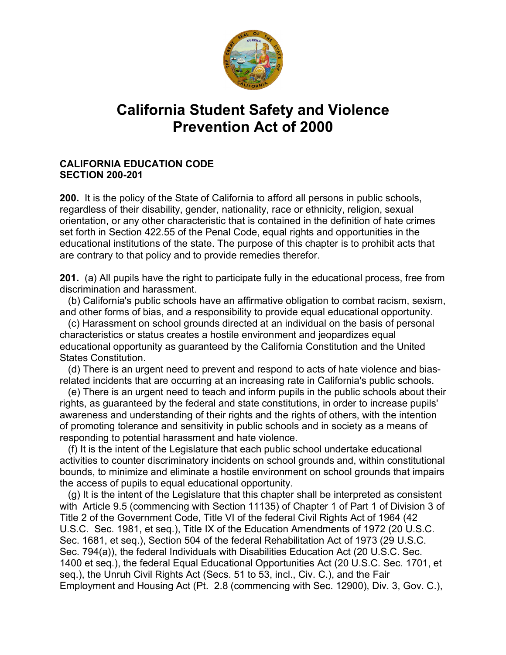

## **California Student Safety and Violence Prevention Act of 2000**

## **CALIFORNIA EDUCATION CODE SECTION 200-201**

**200.** It is the policy of the State of California to afford all persons in public schools, regardless of their disability, gender, nationality, race or ethnicity, religion, sexual orientation, or any other characteristic that is contained in the definition of hate crimes set forth in Section 422.55 of the Penal Code, equal rights and opportunities in the educational institutions of the state. The purpose of this chapter is to prohibit acts that are contrary to that policy and to provide remedies therefor.

**201.** (a) All pupils have the right to participate fully in the educational process, free from discrimination and harassment.

 (b) California's public schools have an affirmative obligation to combat racism, sexism, and other forms of bias, and a responsibility to provide equal educational opportunity.

 (c) Harassment on school grounds directed at an individual on the basis of personal characteristics or status creates a hostile environment and jeopardizes equal educational opportunity as guaranteed by the California Constitution and the United States Constitution.

 (d) There is an urgent need to prevent and respond to acts of hate violence and biasrelated incidents that are occurring at an increasing rate in California's public schools.

 (e) There is an urgent need to teach and inform pupils in the public schools about their rights, as guaranteed by the federal and state constitutions, in order to increase pupils' awareness and understanding of their rights and the rights of others, with the intention of promoting tolerance and sensitivity in public schools and in society as a means of responding to potential harassment and hate violence.

 (f) It is the intent of the Legislature that each public school undertake educational activities to counter discriminatory incidents on school grounds and, within constitutional bounds, to minimize and eliminate a hostile environment on school grounds that impairs the access of pupils to equal educational opportunity.

 (g) It is the intent of the Legislature that this chapter shall be interpreted as consistent with Article 9.5 (commencing with Section 11135) of Chapter 1 of Part 1 of Division 3 of Title 2 of the Government Code, Title VI of the federal Civil Rights Act of 1964 (42 U.S.C. Sec. 1981, et seq.), Title IX of the Education Amendments of 1972 (20 U.S.C. Sec. 1681, et seq.), Section 504 of the federal Rehabilitation Act of 1973 (29 U.S.C. Sec. 794(a)), the federal Individuals with Disabilities Education Act (20 U.S.C. Sec. 1400 et seq.), the federal Equal Educational Opportunities Act (20 U.S.C. Sec. 1701, et seq.), the Unruh Civil Rights Act (Secs. 51 to 53, incl., Civ. C.), and the Fair Employment and Housing Act (Pt. 2.8 (commencing with Sec. 12900), Div. 3, Gov. C.),